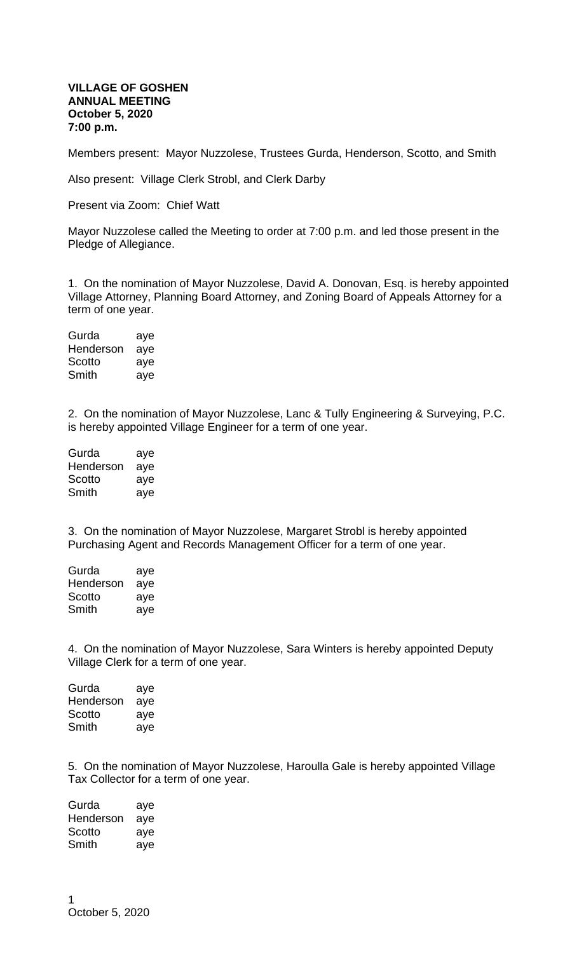## **VILLAGE OF GOSHEN ANNUAL MEETING October 5, 2020 7:00 p.m.**

Members present: Mayor Nuzzolese, Trustees Gurda, Henderson, Scotto, and Smith

Also present: Village Clerk Strobl, and Clerk Darby

Present via Zoom: Chief Watt

Mayor Nuzzolese called the Meeting to order at 7:00 p.m. and led those present in the Pledge of Allegiance.

1. On the nomination of Mayor Nuzzolese, David A. Donovan, Esq. is hereby appointed Village Attorney, Planning Board Attorney, and Zoning Board of Appeals Attorney for a term of one year.

| Gurda     | aye |
|-----------|-----|
| Henderson | aye |
| Scotto    | aye |
| Smith     | aye |

2. On the nomination of Mayor Nuzzolese, Lanc & Tully Engineering & Surveying, P.C. is hereby appointed Village Engineer for a term of one year.

| Gurda     | aye |
|-----------|-----|
| Henderson | aye |
| Scotto    | aye |
| Smith     | aye |

3. On the nomination of Mayor Nuzzolese, Margaret Strobl is hereby appointed Purchasing Agent and Records Management Officer for a term of one year.

| Gurda     | aye |
|-----------|-----|
| Henderson | aye |
| Scotto    | aye |
| Smith     | aye |

4. On the nomination of Mayor Nuzzolese, Sara Winters is hereby appointed Deputy Village Clerk for a term of one year.

| aye |
|-----|
| aye |
| aye |
| aye |
|     |

5. On the nomination of Mayor Nuzzolese, Haroulla Gale is hereby appointed Village Tax Collector for a term of one year.

Gurda aye Henderson aye Scotto aye Smith aye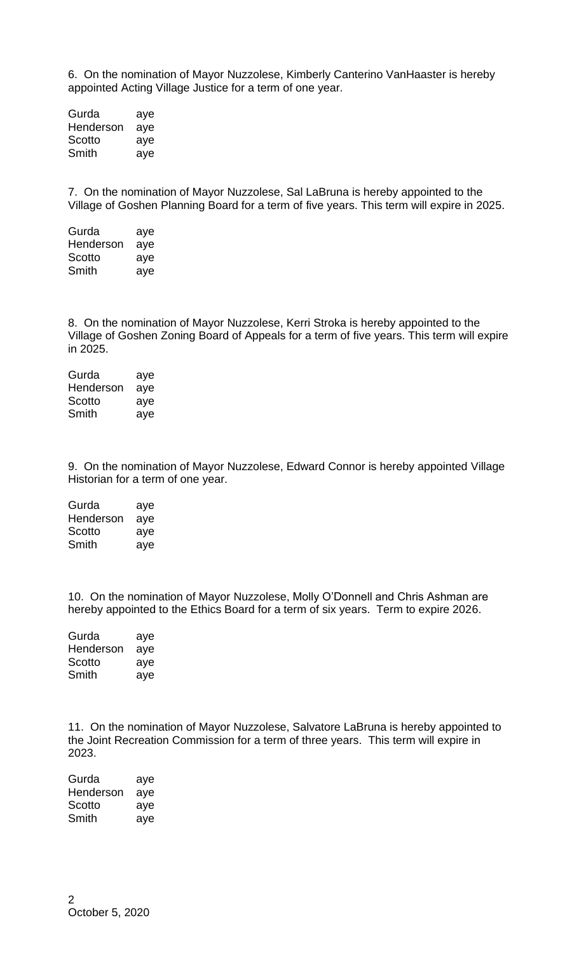6. On the nomination of Mayor Nuzzolese, Kimberly Canterino VanHaaster is hereby appointed Acting Village Justice for a term of one year.

Gurda aye Henderson aye Scotto aye Smith aye

7. On the nomination of Mayor Nuzzolese, Sal LaBruna is hereby appointed to the Village of Goshen Planning Board for a term of five years. This term will expire in 2025.

| Gurda     | aye |
|-----------|-----|
| Henderson | aye |
| Scotto    | aye |
| Smith     | ave |

8. On the nomination of Mayor Nuzzolese, Kerri Stroka is hereby appointed to the Village of Goshen Zoning Board of Appeals for a term of five years. This term will expire in 2025.

Gurda aye Henderson aye Scotto aye Smith aye

9. On the nomination of Mayor Nuzzolese, Edward Connor is hereby appointed Village Historian for a term of one year.

| Gurda     | aye |
|-----------|-----|
| Henderson | aye |
| Scotto    | aye |
| Smith     | aye |

10. On the nomination of Mayor Nuzzolese, Molly O'Donnell and Chris Ashman are hereby appointed to the Ethics Board for a term of six years. Term to expire 2026.

| Gurda     | aye |
|-----------|-----|
| Henderson | aye |
| Scotto    | aye |
| Smith     | aye |
|           |     |

11. On the nomination of Mayor Nuzzolese, Salvatore LaBruna is hereby appointed to the Joint Recreation Commission for a term of three years. This term will expire in 2023.

| Gurda     | aye |
|-----------|-----|
| Henderson | aye |
| Scotto    | aye |
| Smith     | aye |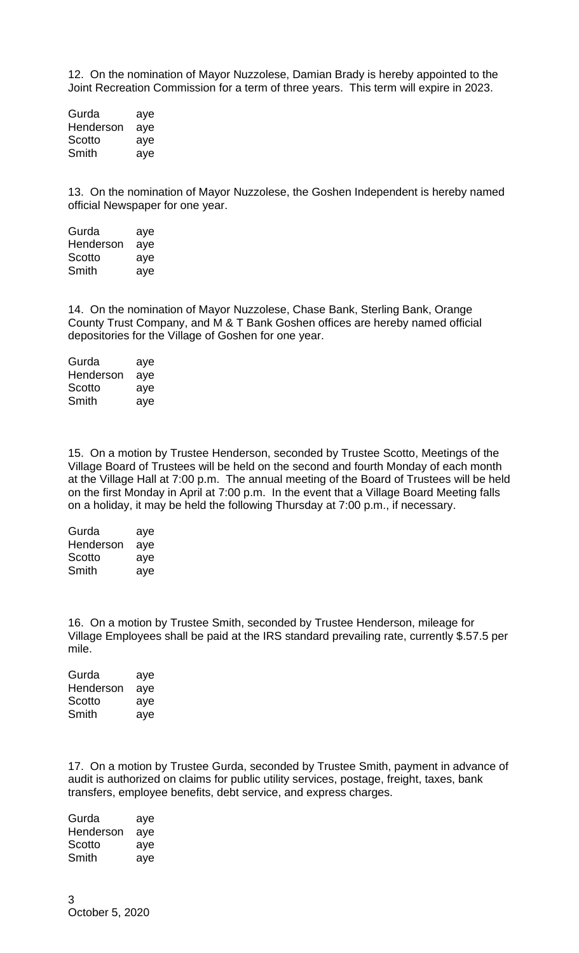12. On the nomination of Mayor Nuzzolese, Damian Brady is hereby appointed to the Joint Recreation Commission for a term of three years. This term will expire in 2023.

Gurda aye Henderson aye Scotto aye Smith aye

13. On the nomination of Mayor Nuzzolese, the Goshen Independent is hereby named official Newspaper for one year.

Gurda aye Henderson aye Scotto aye Smith aye

14. On the nomination of Mayor Nuzzolese, Chase Bank, Sterling Bank, Orange County Trust Company, and M & T Bank Goshen offices are hereby named official depositories for the Village of Goshen for one year.

| Gurda     | aye |
|-----------|-----|
| Henderson | aye |
| Scotto    | aye |
| Smith     | aye |

15. On a motion by Trustee Henderson, seconded by Trustee Scotto, Meetings of the Village Board of Trustees will be held on the second and fourth Monday of each month at the Village Hall at 7:00 p.m. The annual meeting of the Board of Trustees will be held on the first Monday in April at 7:00 p.m. In the event that a Village Board Meeting falls on a holiday, it may be held the following Thursday at 7:00 p.m., if necessary.

| Gurda     | aye |
|-----------|-----|
| Henderson | aye |
| Scotto    | aye |
| Smith     | aye |

16. On a motion by Trustee Smith, seconded by Trustee Henderson, mileage for Village Employees shall be paid at the IRS standard prevailing rate, currently \$.57.5 per mile.

| Gurda     | aye |
|-----------|-----|
| Henderson | aye |
| Scotto    | aye |
| Smith     | aye |

17. On a motion by Trustee Gurda, seconded by Trustee Smith, payment in advance of audit is authorized on claims for public utility services, postage, freight, taxes, bank transfers, employee benefits, debt service, and express charges.

Gurda aye Henderson aye Scotto aye Smith aye